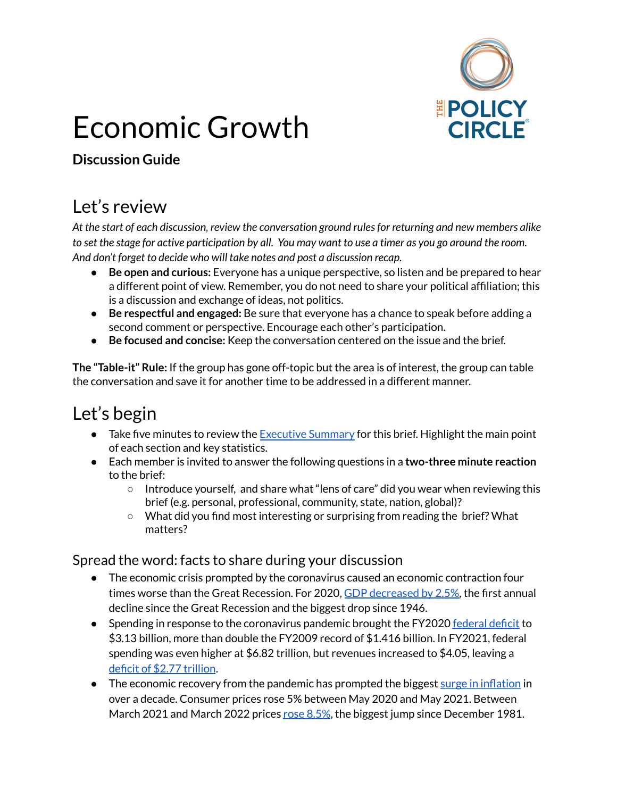

# Economic Growth

#### **Discussion Guide**

### Let's review

*At the start of each discussion, review the conversation ground rulesfor returning and new members alike* to set the stage for active participation by all. You may want to use a timer as you go around the room. *And don't forget to decide who will take notes and post a discussion recap.*

- **Be open and curious:** Everyone has a unique perspective, so listen and be prepared to hear a different point of view. Remember, you do not need to share your political affiliation; this is a discussion and exchange of ideas, not politics.
- **Be respectful and engaged:** Be sure that everyone has a chance to speak before adding a second comment or perspective. Encourage each other's participation.
- **Be focused and concise:** Keep the conversation centered on the issue and the brief.

**The "Table-it" Rule:** If the group has gone off-topic but the area is of interest, the group can table the conversation and save it for another time to be addressed in a different manner.

# Let's begin

- Take five minutes to review the **[Executive](https://www.thepolicycircle.org/wp-content/uploads/2015/12/Economic-Growth-Executive-Summary.pdf) Summary** for this brief. Highlight the main point of each section and key statistics.
- Each member is invited to answer the following questions in a **two-three minute reaction** to the brief:
	- $\circ$  Introduce yourself, and share what "lens of care" did you wear when reviewing this brief (e.g. personal, professional, community, state, nation, global)?
	- What did you find most interesting or surprising from reading the brief? What matters?

#### Spread the word: facts to share during your discussion

- The economic crisis prompted by the coronavirus caused an economic contraction four times worse than the Great Recession. For 2020, GDP [decreased](https://www.reuters.com/article/us-usa-economy/covid-19-savages-u-s-economy-2020-performance-worst-in-74-years-idUSKBN29X0I8) by 2.5%, the first annual decline since the Great Recession and the biggest drop since 1946.
- Spending in response to the coronavirus pandemic brought the FY2020 [federal](https://datalab.usaspending.gov/americas-finance-guide/) deficit to \$3.13 billion, more than double the FY2009 record of \$1.416 billion. In FY2021, federal spending was even higher at \$6.82 trillion, but revenues increased to \$4.05, leaving [a](https://datalab.usaspending.gov/americas-finance-guide/) deficit of \$2.77 [trillion](https://datalab.usaspending.gov/americas-finance-guide/).
- The economic recovery from the pandemic has prompted the biggest surge in [inflation](https://www.wsj.com/articles/us-inflation-consumer-price-index-may-2021-11623288303) in over a decade. Consumer prices rose 5% between May 2020 and May 2021. Between March 2021 and March 2022 prices rose [8.5%](https://www.investopedia.com/ask/answers/111314/what-causes-inflation-and-does-anyone-gain-it.asp), the biggest jump since December 1981.